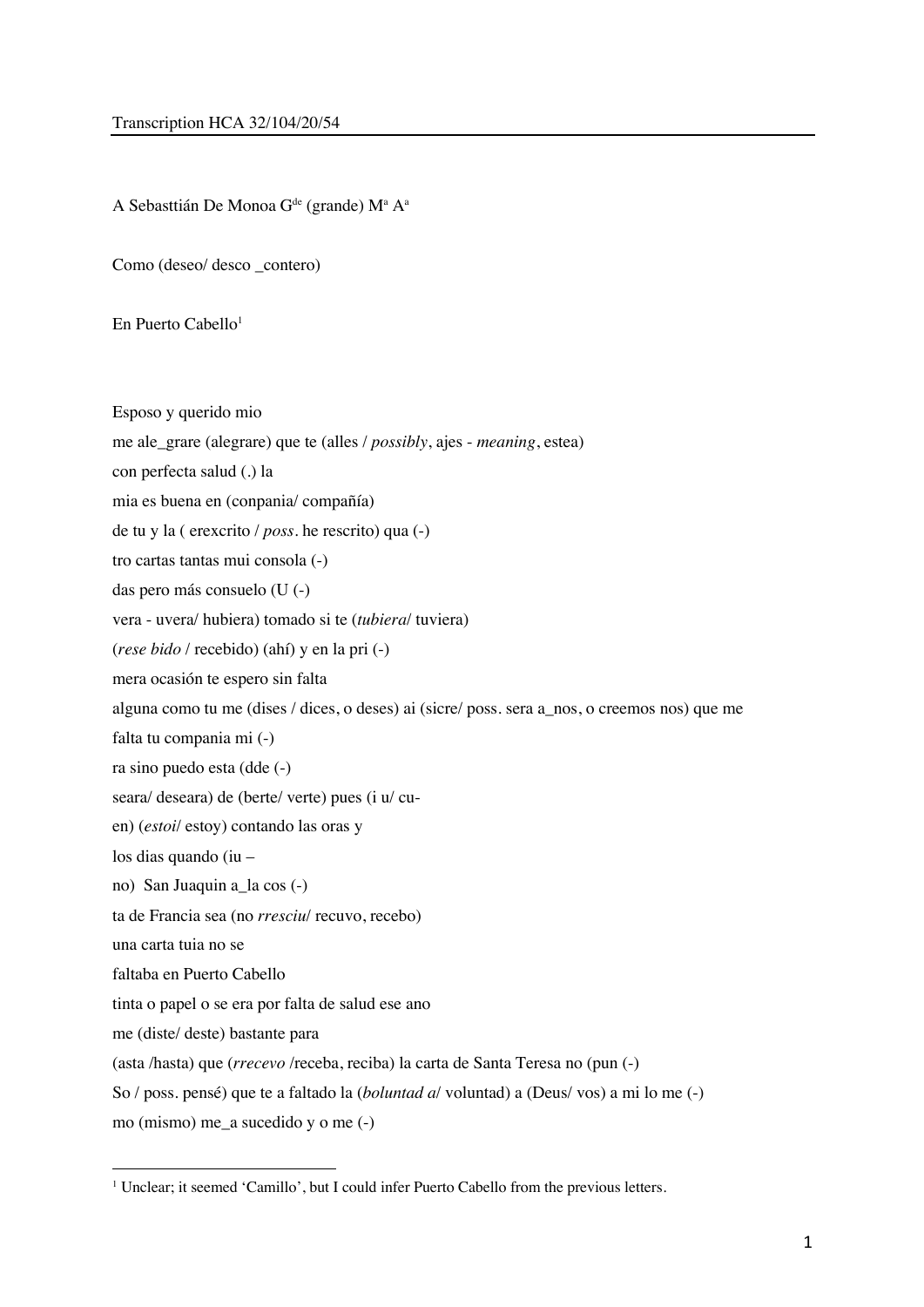A Sebasttián De Monoa G<sup>de</sup> (grande) M<sup>a</sup> A<sup>a</sup>

Como (deseo/ desco \_contero)

En Puerto Cabello<sup>1</sup>

Esposo y querido mio

- me ale\_grare (alegrare) que te (alles / *possibly*, ajes *meaning*, estea)
- con perfecta salud (.) la
- mia es buena en (conpania/ compañía)

de tu y la ( erexcrito / *poss*. he rescrito) qua (-)

tro cartas tantas mui consola (-)

das pero más consuelo (U (-)

vera - uvera/ hubiera) tomado si te (*tubiera*/ tuviera)

(*rese bido* / recebido) (ahí) y en la pri (-)

mera ocasión te espero sin falta

alguna como tu me (dises / dices, o deses) ai (sicre/ poss. sera a\_nos, o creemos nos) que me

falta tu compania mi (-)

ra sino puedo esta (dde (-)

seara/ deseara) de (berte/ verte) pues (i u/ cu-

en) (*estoi*/ estoy) contando las oras y

los dias quando (iu –

no) San Juaquin a\_la cos (-)

ta de Francia sea (no *rresciu*/ recuvo, recebo)

una carta tuia no se

faltaba en Puerto Cabello

tinta o papel o se era por falta de salud ese ano

me (diste/ deste) bastante para

(asta /hasta) que (*rrecevo* /receba, reciba) la carta de Santa Teresa no (pun (-)

So / poss. pensé) que te a faltado la (*boluntad a*/ voluntad) a (Deus/ vos) a mi lo me (-)

mo (mismo) me\_a sucedido y o me (-)

<sup>&</sup>lt;sup>1</sup> Unclear; it seemed 'Camillo', but I could infer Puerto Cabello from the previous letters.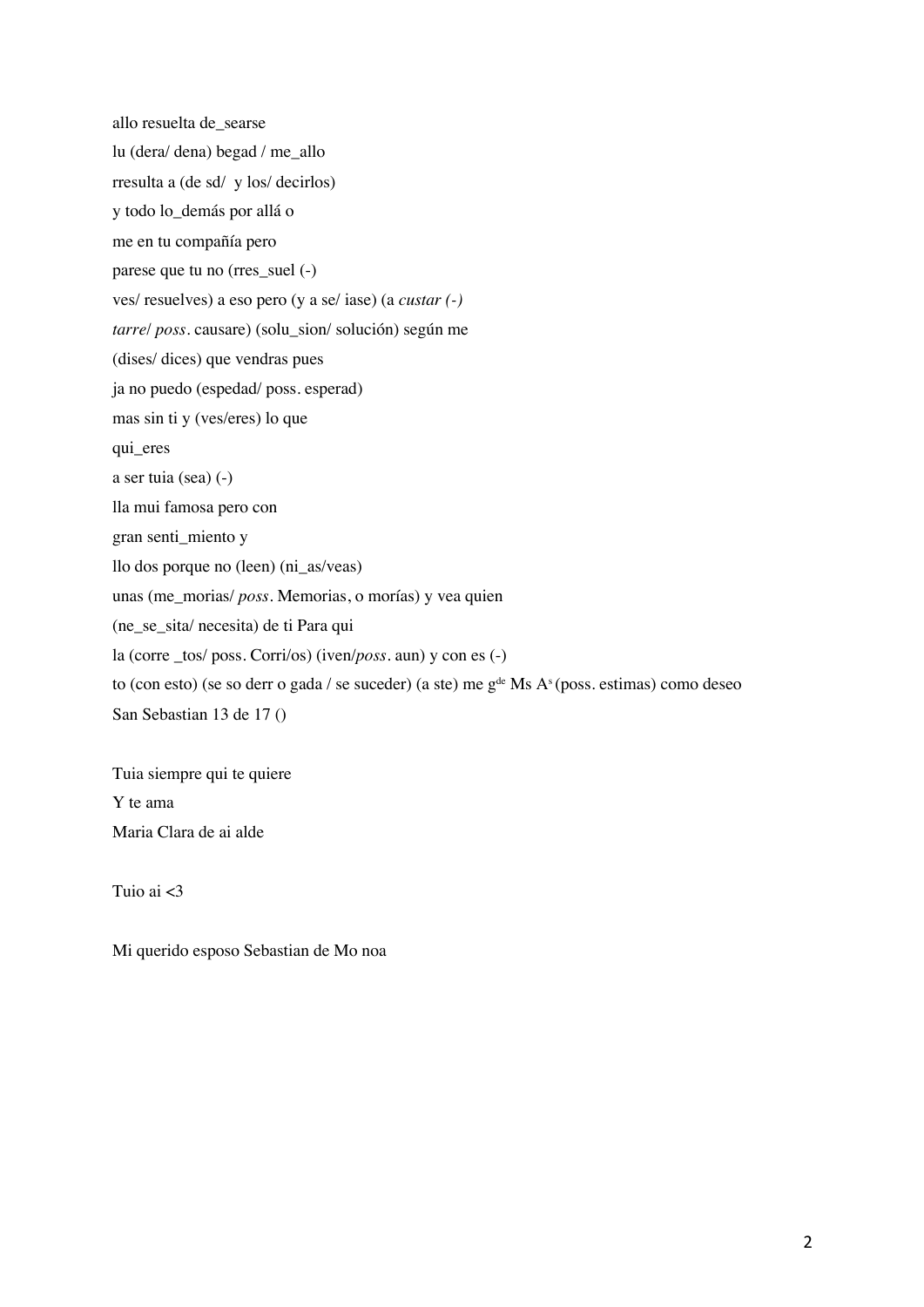allo resuelta de\_searse lu (dera/ dena) begad / me\_allo rresulta a (de sd/ y los/ decirlos) y todo lo\_demás por allá o me en tu compañía pero parese que tu no (rres\_suel (-) ves/ resuelves) a eso pero (y a se/ iase) (a *custar (-) tarre*/ *poss*. causare) (solu\_sion/ solución) según me (dises/ dices) que vendras pues ja no puedo (espedad/ poss. esperad) mas sin ti y (ves/eres) lo que qui\_eres a ser tuia (sea) (-) lla mui famosa pero con gran senti\_miento y llo dos porque no (leen) (ni\_as/veas) unas (me\_morias/ *poss*. Memorias, o morías) y vea quien (ne\_se\_sita/ necesita) de ti Para qui la (corre \_tos/ poss. Corri/os) (iven/*poss*. aun) y con es (-) to (con esto) (se so derr o gada / se suceder) (a ste) me  $g^{de}$  Ms A<sup>s</sup> (poss. estimas) como deseo San Sebastian 13 de 17 ()

Tuia siempre qui te quiere Y te ama Maria Clara de ai alde

Tuio ai <3

Mi querido esposo Sebastian de Mo noa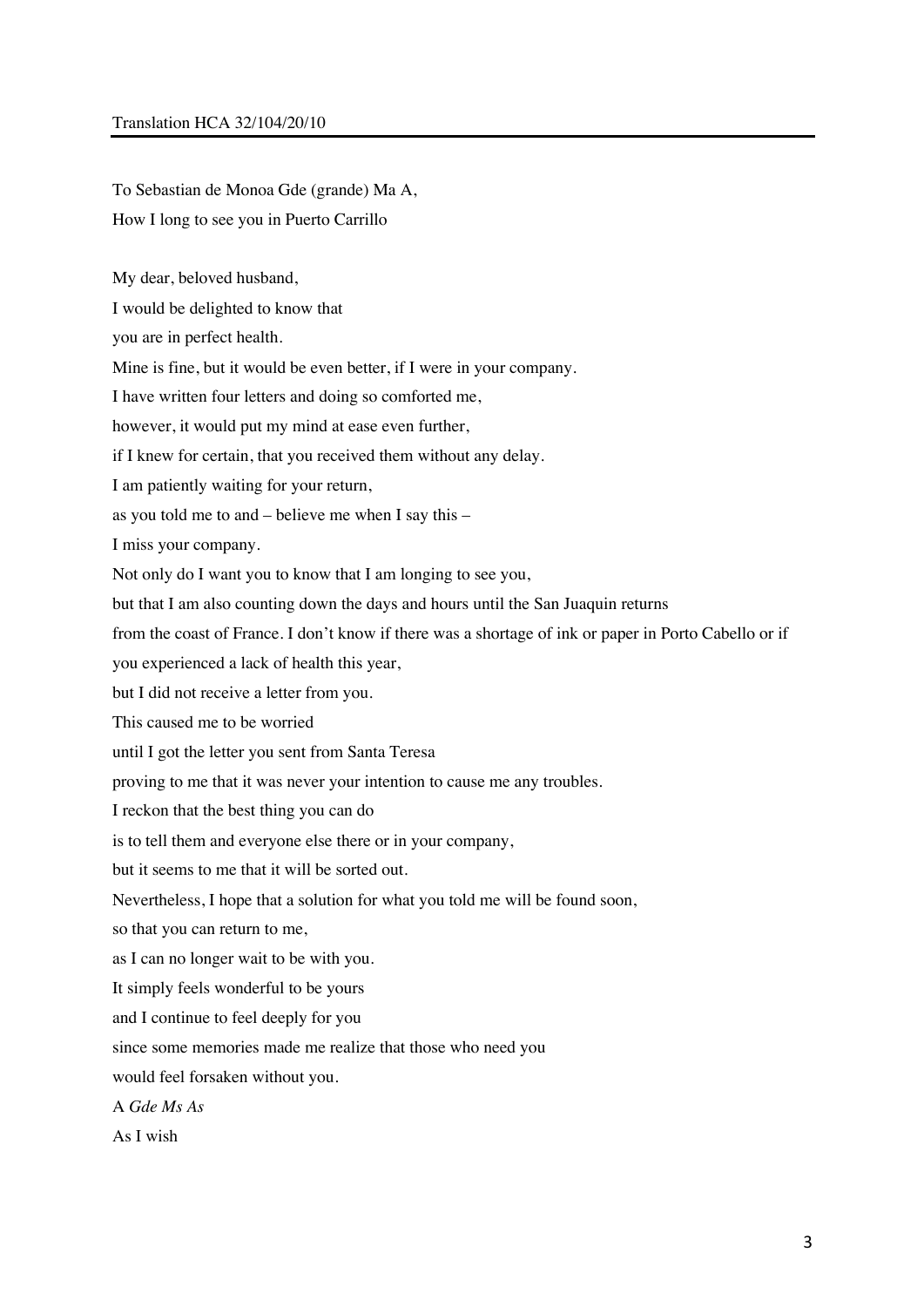## Translation HCA 32/104/20/10

To Sebastian de Monoa Gde (grande) Ma A, How I long to see you in Puerto Carrillo

My dear, beloved husband,

I would be delighted to know that

you are in perfect health.

Mine is fine, but it would be even better, if I were in your company.

I have written four letters and doing so comforted me,

however, it would put my mind at ease even further,

if I knew for certain, that you received them without any delay.

I am patiently waiting for your return,

as you told me to and – believe me when I say this –

I miss your company.

Not only do I want you to know that I am longing to see you,

but that I am also counting down the days and hours until the San Juaquin returns

from the coast of France. I don't know if there was a shortage of ink or paper in Porto Cabello or if

you experienced a lack of health this year,

but I did not receive a letter from you.

This caused me to be worried

until I got the letter you sent from Santa Teresa

proving to me that it was never your intention to cause me any troubles.

I reckon that the best thing you can do

is to tell them and everyone else there or in your company,

but it seems to me that it will be sorted out.

Nevertheless, I hope that a solution for what you told me will be found soon,

so that you can return to me,

as I can no longer wait to be with you.

It simply feels wonderful to be yours

and I continue to feel deeply for you

since some memories made me realize that those who need you

would feel forsaken without you.

A *Gde Ms As*

As I wish